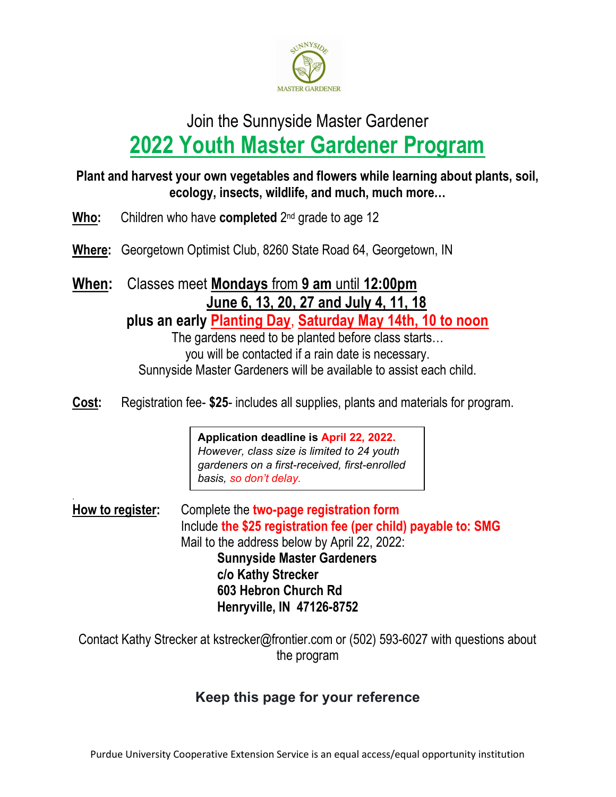

# Join the Sunnyside Master Gardener 2022 Youth Master Gardener Program

#### Plant and harvest your own vegetables and flowers while learning about plants, soil, ecology, insects, wildlife, and much, much more…

**Who:** Children who have **completed**  $2^{nd}$  grade to age 12

.

- Where: Georgetown Optimist Club, 8260 State Road 64, Georgetown, IN
- When: Classes meet Mondays from 9 am until 12:00pm June 6, 13, 20, 27 and July 4, 11, 18

plus an early Planting Day, Saturday May 14th, 10 to noon

The gardens need to be planted before class starts… you will be contacted if a rain date is necessary. Sunnyside Master Gardeners will be available to assist each child.

Cost: Registration fee- \$25- includes all supplies, plants and materials for program.

Application deadline is April 22, 2022. However, class size is limited to 24 youth gardeners on a first-received, first-enrolled basis, so don't delay.

How to register: Complete the two-page registration form Include the \$25 registration fee (per child) payable to: SMG Mail to the address below by April 22, 2022: Sunnyside Master Gardeners c/o Kathy Strecker 603 Hebron Church Rd Henryville, IN 47126-8752

Contact Kathy Strecker at kstrecker@frontier.com or (502) 593-6027 with questions about the program

# Keep this page for your reference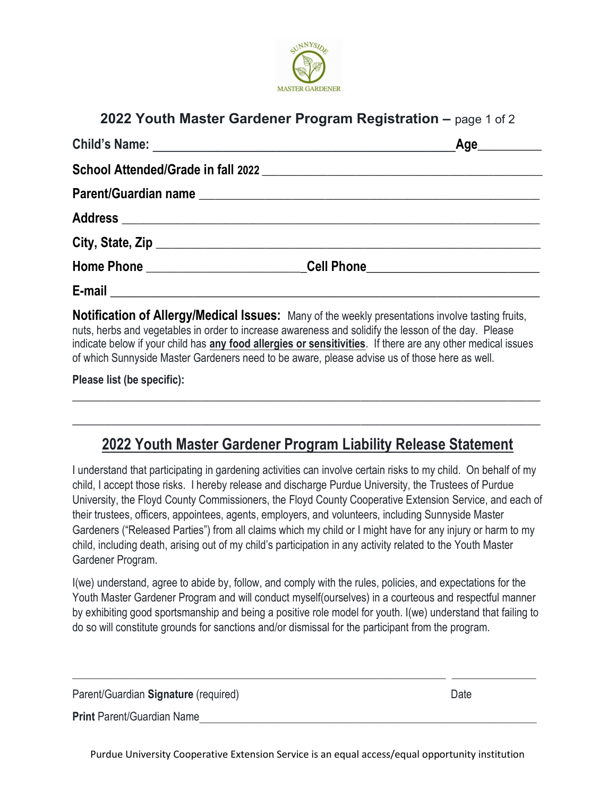

#### 2022 Youth Master Gardener Program Registration – page 1 of 2

|                                                                                                                                                                                                                                | Age |
|--------------------------------------------------------------------------------------------------------------------------------------------------------------------------------------------------------------------------------|-----|
|                                                                                                                                                                                                                                |     |
|                                                                                                                                                                                                                                |     |
|                                                                                                                                                                                                                                |     |
|                                                                                                                                                                                                                                |     |
| Home Phone _________________________________Cell Phone _________________________                                                                                                                                               |     |
| E-mail expression and the contract of the contract of the contract of the contract of the contract of the contract of the contract of the contract of the contract of the contract of the contract of the contract of the cont |     |

Notification of Allergy/Medical Issues: Many of the weekly presentations involve tasting fruits, nuts, herbs and vegetables in order to increase awareness and solidify the lesson of the day. Please indicate below if your child has any food allergies or sensitivities. If there are any other medical issues of which Sunnyside Master Gardeners need to be aware, please advise us of those here as well.

Please list (be specific):

# 2022 Youth Master Gardener Program Liability Release Statement

 $\frac{1}{2}$  , and the set of the set of the set of the set of the set of the set of the set of the set of the set of the set of the set of the set of the set of the set of the set of the set of the set of the set of the set

 $\frac{1}{2}$  , and the set of the set of the set of the set of the set of the set of the set of the set of the set of the set of the set of the set of the set of the set of the set of the set of the set of the set of the set

I understand that participating in gardening activities can involve certain risks to my child. On behalf of my child, I accept those risks. I hereby release and discharge Purdue University, the Trustees of Purdue University, the Floyd County Commissioners, the Floyd County Cooperative Extension Service, and each of their trustees, officers, appointees, agents, employers, and volunteers, including Sunnyside Master Gardeners ("Released Parties") from all claims which my child or I might have for any injury or harm to my child, including death, arising out of my child's participation in any activity related to the Youth Master Gardener Program.

I(we) understand, agree to abide by, follow, and comply with the rules, policies, and expectations for the Youth Master Gardener Program and will conduct myself(ourselves) in a courteous and respectful manner by exhibiting good sportsmanship and being a positive role model for youth. I(we) understand that failing to do so will constitute grounds for sanctions and/or dismissal for the participant from the program.

 $\mathcal{L}_\mathcal{L} = \mathcal{L}_\mathcal{L} = \mathcal{L}_\mathcal{L} = \mathcal{L}_\mathcal{L} = \mathcal{L}_\mathcal{L} = \mathcal{L}_\mathcal{L} = \mathcal{L}_\mathcal{L} = \mathcal{L}_\mathcal{L} = \mathcal{L}_\mathcal{L} = \mathcal{L}_\mathcal{L} = \mathcal{L}_\mathcal{L} = \mathcal{L}_\mathcal{L} = \mathcal{L}_\mathcal{L} = \mathcal{L}_\mathcal{L} = \mathcal{L}_\mathcal{L} = \mathcal{L}_\mathcal{L} = \mathcal{L}_\mathcal{L}$ 

Parent/Guardian Signature (required) Date **Date Construction** Date Date **Date** 

Print Parent/Guardian Name

Purdue University Cooperative Extension Service is an equal access/equal opportunity institution